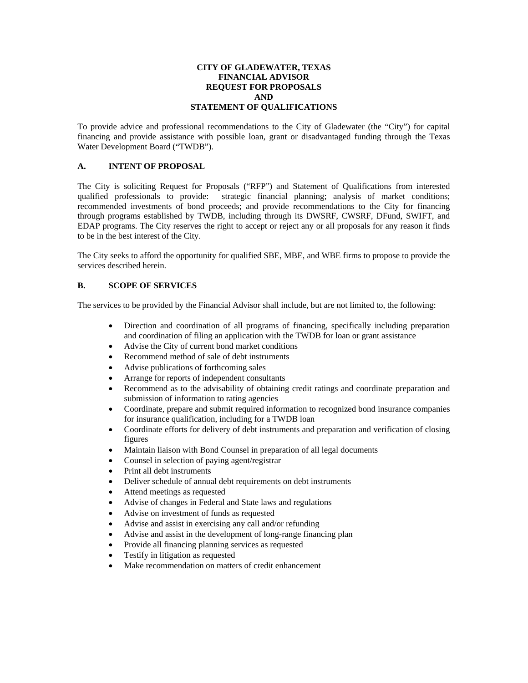## **CITY OF GLADEWATER, TEXAS FINANCIAL ADVISOR REQUEST FOR PROPOSALS AND STATEMENT OF QUALIFICATIONS**

To provide advice and professional recommendations to the City of Gladewater (the "City") for capital financing and provide assistance with possible loan, grant or disadvantaged funding through the Texas Water Development Board ("TWDB").

# **A. INTENT OF PROPOSAL**

The City is soliciting Request for Proposals ("RFP") and Statement of Qualifications from interested qualified professionals to provide: strategic financial planning; analysis of market conditions; recommended investments of bond proceeds; and provide recommendations to the City for financing through programs established by TWDB, including through its DWSRF, CWSRF, DFund, SWIFT, and EDAP programs. The City reserves the right to accept or reject any or all proposals for any reason it finds to be in the best interest of the City.

The City seeks to afford the opportunity for qualified SBE, MBE, and WBE firms to propose to provide the services described herein.

## **B. SCOPE OF SERVICES**

The services to be provided by the Financial Advisor shall include, but are not limited to, the following:

- Direction and coordination of all programs of financing, specifically including preparation and coordination of filing an application with the TWDB for loan or grant assistance
- Advise the City of current bond market conditions
- Recommend method of sale of debt instruments
- Advise publications of forthcoming sales
- Arrange for reports of independent consultants
- Recommend as to the advisability of obtaining credit ratings and coordinate preparation and submission of information to rating agencies
- Coordinate, prepare and submit required information to recognized bond insurance companies for insurance qualification, including for a TWDB loan
- Coordinate efforts for delivery of debt instruments and preparation and verification of closing figures
- Maintain liaison with Bond Counsel in preparation of all legal documents
- Counsel in selection of paying agent/registrar
- Print all debt instruments
- Deliver schedule of annual debt requirements on debt instruments
- Attend meetings as requested
- Advise of changes in Federal and State laws and regulations
- Advise on investment of funds as requested
- Advise and assist in exercising any call and/or refunding
- Advise and assist in the development of long-range financing plan
- Provide all financing planning services as requested
- Testify in litigation as requested
- Make recommendation on matters of credit enhancement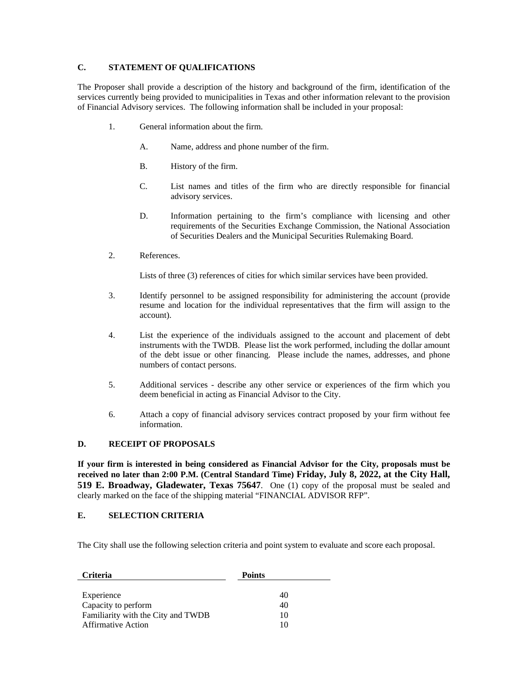# **C. STATEMENT OF QUALIFICATIONS**

The Proposer shall provide a description of the history and background of the firm, identification of the services currently being provided to municipalities in Texas and other information relevant to the provision of Financial Advisory services. The following information shall be included in your proposal:

- 1. General information about the firm.
	- A. Name, address and phone number of the firm.
	- B. History of the firm.
	- C. List names and titles of the firm who are directly responsible for financial advisory services.
	- D. Information pertaining to the firm's compliance with licensing and other requirements of the Securities Exchange Commission, the National Association of Securities Dealers and the Municipal Securities Rulemaking Board.
- 2. References.

Lists of three (3) references of cities for which similar services have been provided.

- 3. Identify personnel to be assigned responsibility for administering the account (provide resume and location for the individual representatives that the firm will assign to the account).
- 4. List the experience of the individuals assigned to the account and placement of debt instruments with the TWDB. Please list the work performed, including the dollar amount of the debt issue or other financing. Please include the names, addresses, and phone numbers of contact persons.
- 5. Additional services describe any other service or experiences of the firm which you deem beneficial in acting as Financial Advisor to the City.
- 6. Attach a copy of financial advisory services contract proposed by your firm without fee information.

# **D. RECEIPT OF PROPOSALS**

**If your firm is interested in being considered as Financial Advisor for the City, proposals must be received no later than 2:00 P.M. (Central Standard Time) Friday, July 8, 2022, at the City Hall, 519 E. Broadway, Gladewater, Texas 75647**. One (1) copy of the proposal must be sealed and clearly marked on the face of the shipping material "FINANCIAL ADVISOR RFP".

#### **E. SELECTION CRITERIA**

The City shall use the following selection criteria and point system to evaluate and score each proposal.

| <b>Criteria</b>                    | <b>Points</b> |  |
|------------------------------------|---------------|--|
|                                    |               |  |
| Experience                         | 40            |  |
| Capacity to perform                | 40            |  |
| Familiarity with the City and TWDB | 10            |  |
| <b>Affirmative Action</b>          | 10            |  |